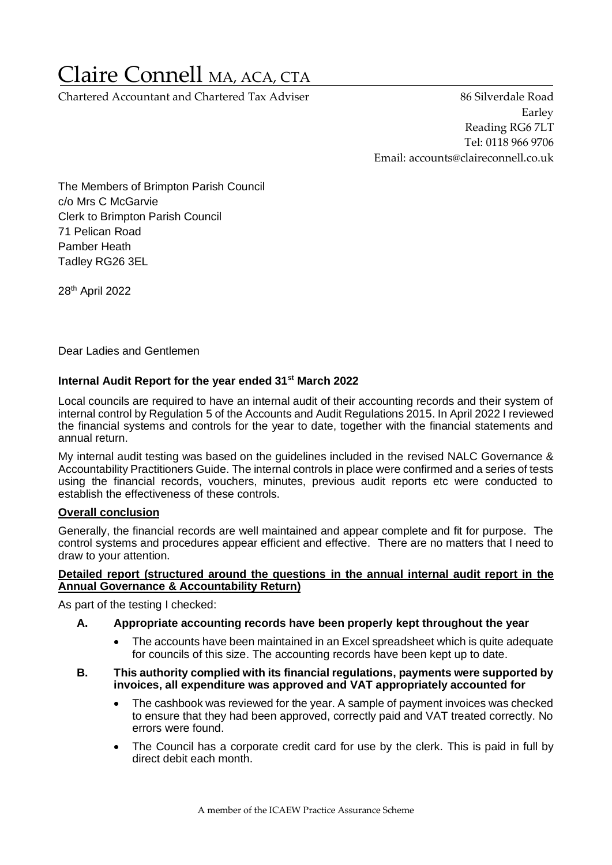# Claire Connell MA, ACA, CTA

Chartered Accountant and Chartered Tax Adviser 86 Silverdale Road

Earley Reading RG6 7LT Tel: 0118 966 9706 Email: accounts@claireconnell.co.uk

The Members of Brimpton Parish Council c/o Mrs C McGarvie Clerk to Brimpton Parish Council 71 Pelican Road Pamber Heath Tadley RG26 3EL

28<sup>th</sup> April 2022

Dear Ladies and Gentlemen

## **Internal Audit Report for the year ended 31st March 2022**

Local councils are required to have an internal audit of their accounting records and their system of internal control by Regulation 5 of the Accounts and Audit Regulations 2015. In April 2022 I reviewed the financial systems and controls for the year to date, together with the financial statements and annual return.

My internal audit testing was based on the guidelines included in the revised NALC Governance & Accountability Practitioners Guide. The internal controls in place were confirmed and a series of tests using the financial records, vouchers, minutes, previous audit reports etc were conducted to establish the effectiveness of these controls.

#### **Overall conclusion**

Generally, the financial records are well maintained and appear complete and fit for purpose. The control systems and procedures appear efficient and effective. There are no matters that I need to draw to your attention.

#### **Detailed report (structured around the questions in the annual internal audit report in the Annual Governance & Accountability Return)**

As part of the testing I checked:

## **A. Appropriate accounting records have been properly kept throughout the year**

• The accounts have been maintained in an Excel spreadsheet which is quite adequate for councils of this size. The accounting records have been kept up to date.

#### **B. This authority complied with its financial regulations, payments were supported by invoices, all expenditure was approved and VAT appropriately accounted for**

- The cashbook was reviewed for the year. A sample of payment invoices was checked to ensure that they had been approved, correctly paid and VAT treated correctly. No errors were found.
- The Council has a corporate credit card for use by the clerk. This is paid in full by direct debit each month.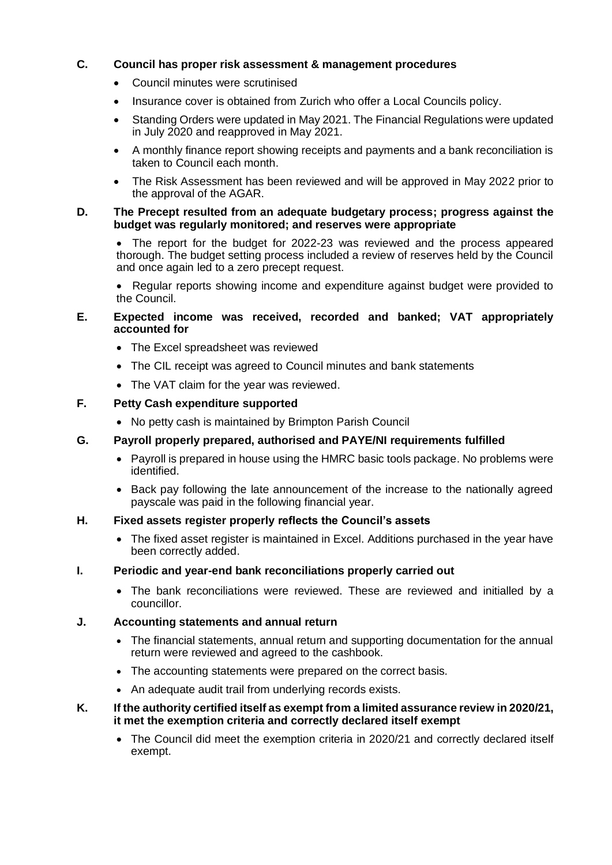## **C. Council has proper risk assessment & management procedures**

- Council minutes were scrutinised
- Insurance cover is obtained from Zurich who offer a Local Councils policy.
- Standing Orders were updated in May 2021. The Financial Regulations were updated in July 2020 and reapproved in May 2021.
- A monthly finance report showing receipts and payments and a bank reconciliation is taken to Council each month.
- The Risk Assessment has been reviewed and will be approved in May 2022 prior to the approval of the AGAR.

#### **D. The Precept resulted from an adequate budgetary process; progress against the budget was regularly monitored; and reserves were appropriate**

• The report for the budget for 2022-23 was reviewed and the process appeared thorough. The budget setting process included a review of reserves held by the Council and once again led to a zero precept request.

• Regular reports showing income and expenditure against budget were provided to the Council.

## **E. Expected income was received, recorded and banked; VAT appropriately accounted for**

- The Excel spreadsheet was reviewed
- The CIL receipt was agreed to Council minutes and bank statements
- The VAT claim for the year was reviewed.

## **F. Petty Cash expenditure supported**

• No petty cash is maintained by Brimpton Parish Council

## **G. Payroll properly prepared, authorised and PAYE/NI requirements fulfilled**

- Payroll is prepared in house using the HMRC basic tools package. No problems were identified.
- Back pay following the late announcement of the increase to the nationally agreed payscale was paid in the following financial year.

#### **H. Fixed assets register properly reflects the Council's assets**

• The fixed asset register is maintained in Excel. Additions purchased in the year have been correctly added.

#### **I. Periodic and year-end bank reconciliations properly carried out**

• The bank reconciliations were reviewed. These are reviewed and initialled by a councillor.

## **J. Accounting statements and annual return**

- The financial statements, annual return and supporting documentation for the annual return were reviewed and agreed to the cashbook.
- The accounting statements were prepared on the correct basis.
- An adequate audit trail from underlying records exists.

#### **K. If the authority certified itself as exempt from a limited assurance review in 2020/21, it met the exemption criteria and correctly declared itself exempt**

• The Council did meet the exemption criteria in 2020/21 and correctly declared itself exempt.